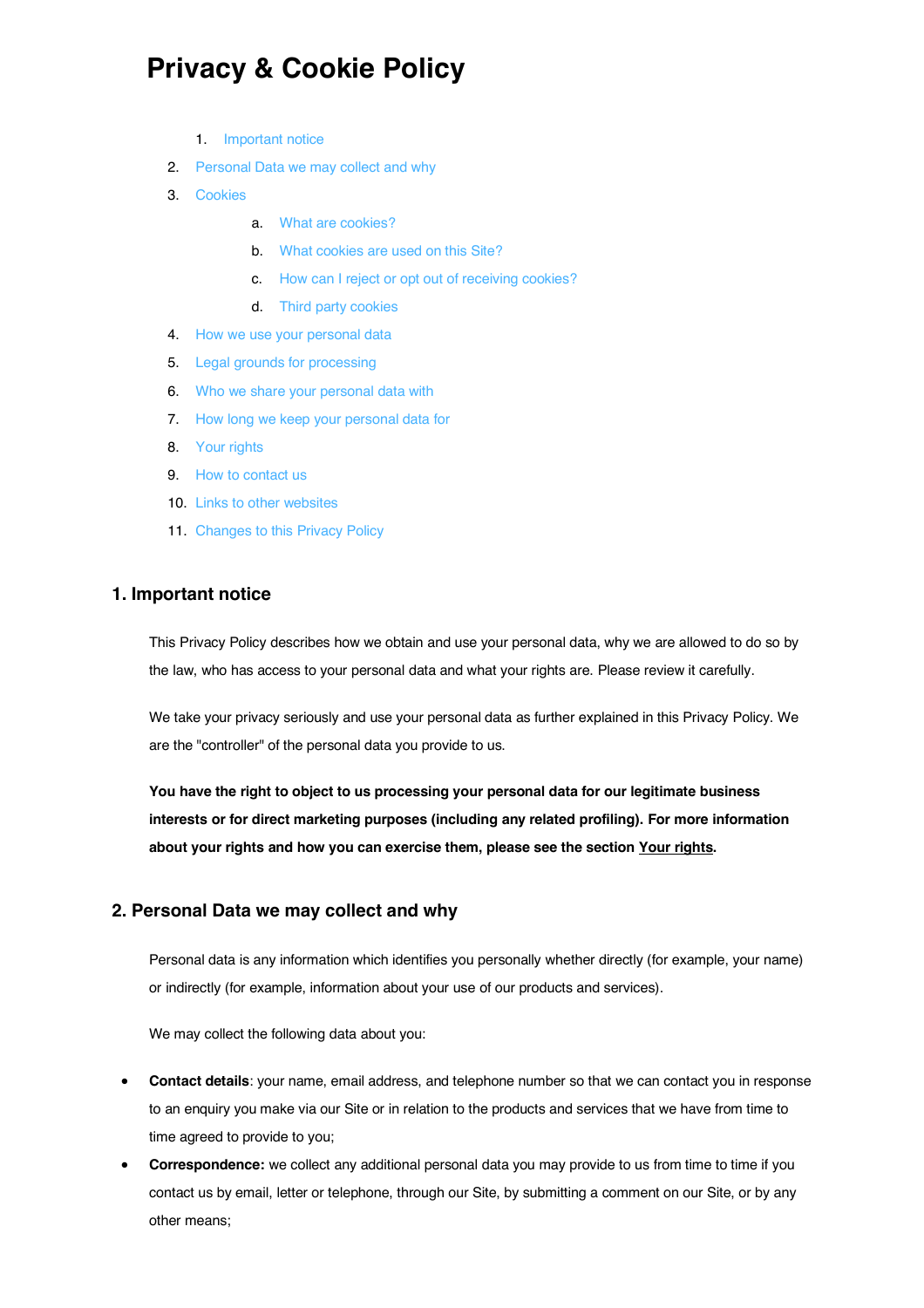# **Privacy & Cookie Policy**

- 1. Important notice
- 2. Personal Data we may collect and why
- 3. Cookies
	- a. What are cookies?
	- b. What cookies are used on this Site?
	- c. How can I reject or opt out of receiving cookies?
	- d. Third party cookies
- 4. How we use your personal data
- 5. Legal grounds for processing
- 6. Who we share your personal data with
- 7. How long we keep your personal data for
- 8. Your rights
- 9. How to contact us
- 10. Links to other websites
- 11. Changes to this Privacy Policy

### **1. Important notice**

This Privacy Policy describes how we obtain and use your personal data, why we are allowed to do so by the law, who has access to your personal data and what your rights are. Please review it carefully.

We take your privacy seriously and use your personal data as further explained in this Privacy Policy. We are the "controller" of the personal data you provide to us.

**You have the right to object to us processing your personal data for our legitimate business interests or for direct marketing purposes (including any related profiling). For more information about your rights and how you can exercise them, please see the section Your rights.**

### **2. Personal Data we may collect and why**

Personal data is any information which identifies you personally whether directly (for example, your name) or indirectly (for example, information about your use of our products and services).

We may collect the following data about you:

- **Contact details**: your name, email address, and telephone number so that we can contact you in response to an enquiry you make via our Site or in relation to the products and services that we have from time to time agreed to provide to you;
- **Correspondence:** we collect any additional personal data you may provide to us from time to time if you contact us by email, letter or telephone, through our Site, by submitting a comment on our Site, or by any other means;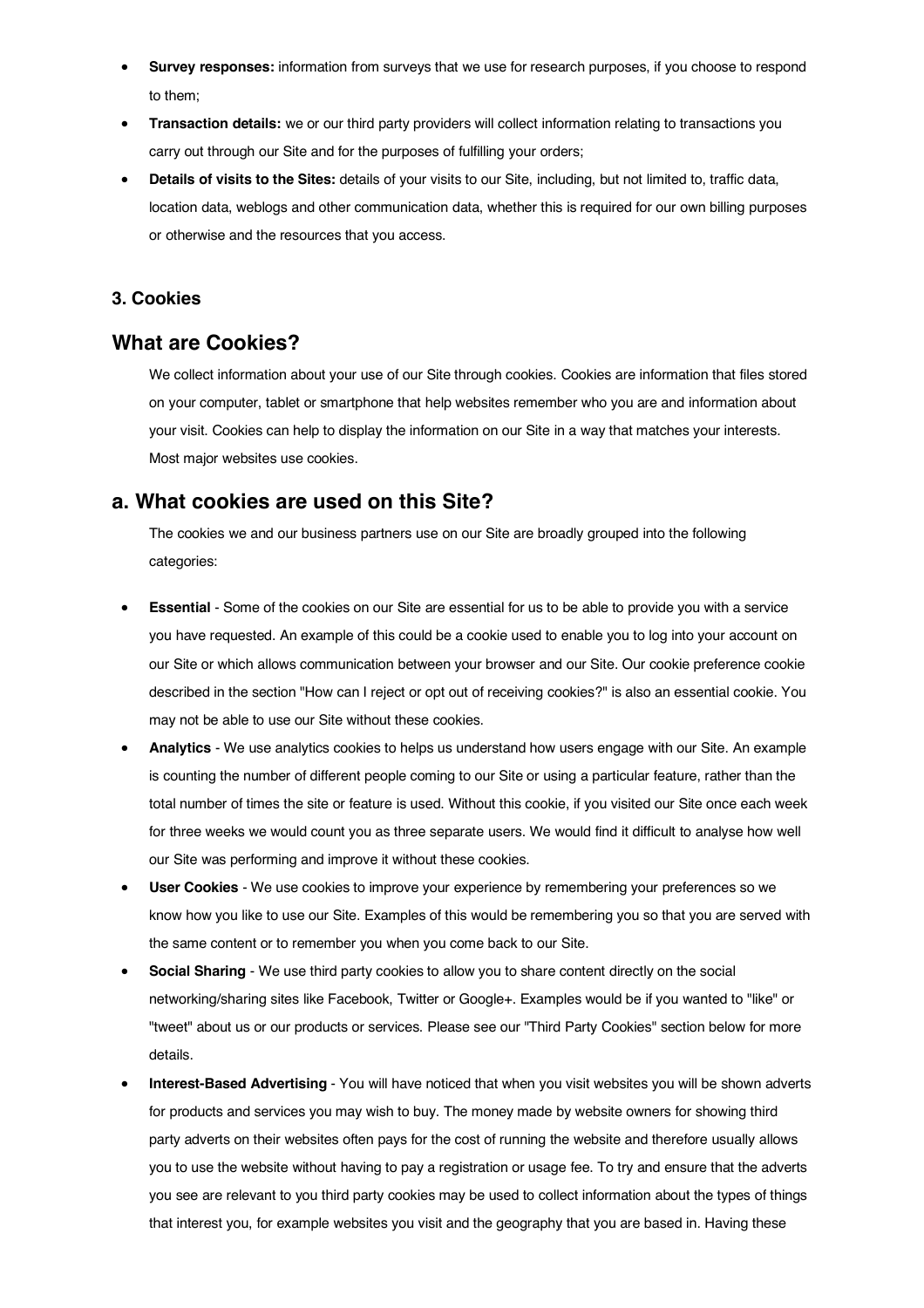- **Survey responses:** information from surveys that we use for research purposes, if you choose to respond to them;
- **Transaction details:** we or our third party providers will collect information relating to transactions you carry out through our Site and for the purposes of fulfilling your orders;
- **Details of visits to the Sites:** details of your visits to our Site, including, but not limited to, traffic data, location data, weblogs and other communication data, whether this is required for our own billing purposes or otherwise and the resources that you access.

## **3. Cookies**

# **What are Cookies?**

We collect information about your use of our Site through cookies. Cookies are information that files stored on your computer, tablet or smartphone that help websites remember who you are and information about your visit. Cookies can help to display the information on our Site in a way that matches your interests. Most major websites use cookies.

# **a. What cookies are used on this Site?**

The cookies we and our business partners use on our Site are broadly grouped into the following categories:

- **Essential** Some of the cookies on our Site are essential for us to be able to provide you with a service you have requested. An example of this could be a cookie used to enable you to log into your account on our Site or which allows communication between your browser and our Site. Our cookie preference cookie described in the section "How can I reject or opt out of receiving cookies?" is also an essential cookie. You may not be able to use our Site without these cookies.
- **Analytics** We use analytics cookies to helps us understand how users engage with our Site. An example is counting the number of different people coming to our Site or using a particular feature, rather than the total number of times the site or feature is used. Without this cookie, if you visited our Site once each week for three weeks we would count you as three separate users. We would find it difficult to analyse how well our Site was performing and improve it without these cookies.
- **User Cookies** We use cookies to improve your experience by remembering your preferences so we know how you like to use our Site. Examples of this would be remembering you so that you are served with the same content or to remember you when you come back to our Site.
- **Social Sharing** We use third party cookies to allow you to share content directly on the social networking/sharing sites like Facebook, Twitter or Google+. Examples would be if you wanted to "like" or "tweet" about us or our products or services. Please see our "Third Party Cookies" section below for more details.
- **Interest-Based Advertising** You will have noticed that when you visit websites you will be shown adverts for products and services you may wish to buy. The money made by website owners for showing third party adverts on their websites often pays for the cost of running the website and therefore usually allows you to use the website without having to pay a registration or usage fee. To try and ensure that the adverts you see are relevant to you third party cookies may be used to collect information about the types of things that interest you, for example websites you visit and the geography that you are based in. Having these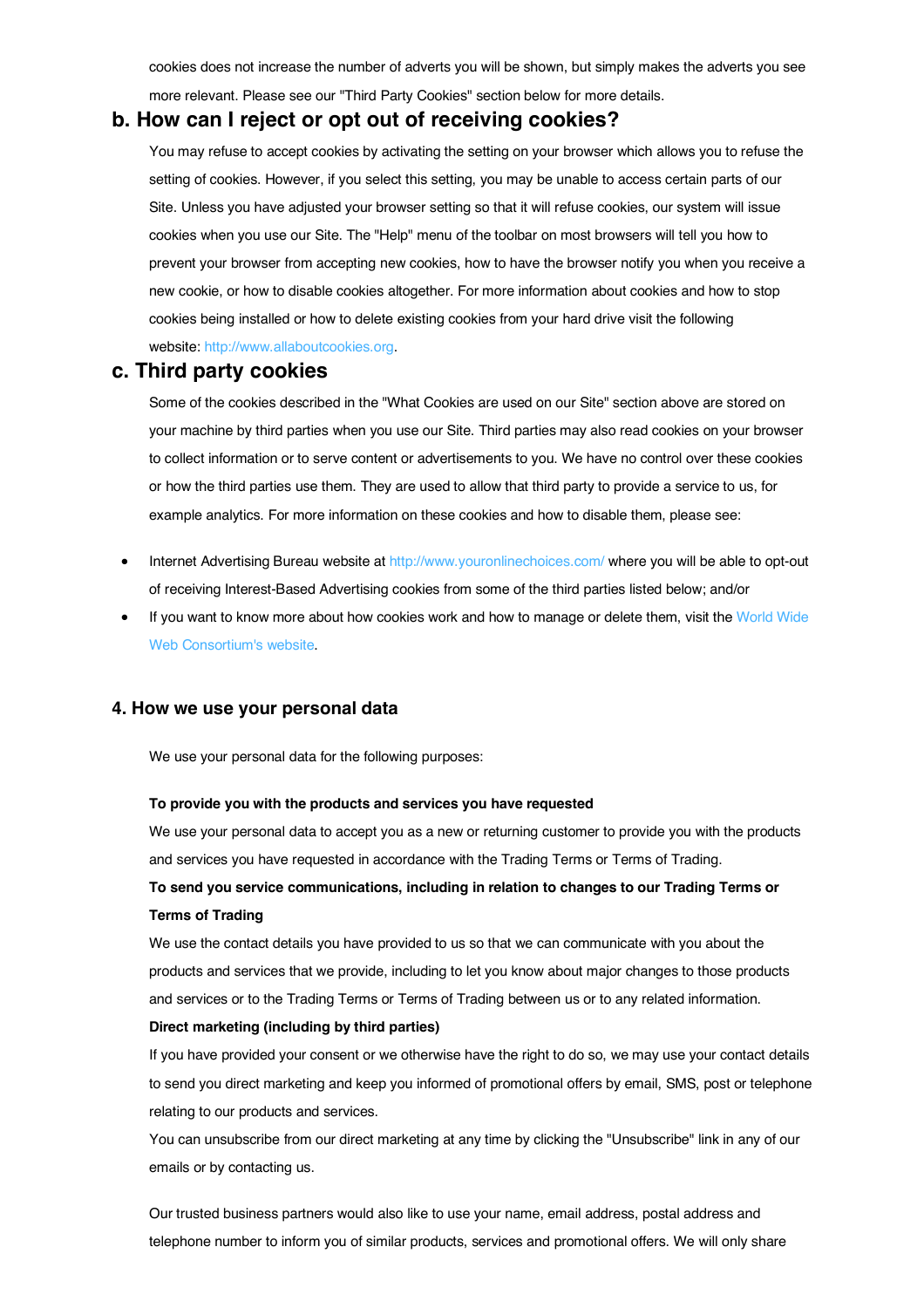cookies does not increase the number of adverts you will be shown, but simply makes the adverts you see more relevant. Please see our "Third Party Cookies" section below for more details.

# **b. How can I reject or opt out of receiving cookies?**

You may refuse to accept cookies by activating the setting on your browser which allows you to refuse the setting of cookies. However, if you select this setting, you may be unable to access certain parts of our Site. Unless you have adjusted your browser setting so that it will refuse cookies, our system will issue cookies when you use our Site. The "Help" menu of the toolbar on most browsers will tell you how to prevent your browser from accepting new cookies, how to have the browser notify you when you receive a new cookie, or how to disable cookies altogether. For more information about cookies and how to stop cookies being installed or how to delete existing cookies from your hard drive visit the following website: http://www.allaboutcookies.org.

# **c. Third party cookies**

Some of the cookies described in the "What Cookies are used on our Site" section above are stored on your machine by third parties when you use our Site. Third parties may also read cookies on your browser to collect information or to serve content or advertisements to you. We have no control over these cookies or how the third parties use them. They are used to allow that third party to provide a service to us, for example analytics. For more information on these cookies and how to disable them, please see:

- Internet Advertising Bureau website at http://www.youronlinechoices.com/ where you will be able to opt-out of receiving Interest-Based Advertising cookies from some of the third parties listed below; and/or
- If you want to know more about how cookies work and how to manage or delete them, visit the World Wide Web Consortium's website.

# **4. How we use your personal data**

We use your personal data for the following purposes:

#### **To provide you with the products and services you have requested**

We use your personal data to accept you as a new or returning customer to provide you with the products and services you have requested in accordance with the Trading Terms or Terms of Trading. **To send you service communications, including in relation to changes to our Trading Terms or Terms of Trading**

We use the contact details you have provided to us so that we can communicate with you about the products and services that we provide, including to let you know about major changes to those products and services or to the Trading Terms or Terms of Trading between us or to any related information.

#### **Direct marketing (including by third parties)**

If you have provided your consent or we otherwise have the right to do so, we may use your contact details to send you direct marketing and keep you informed of promotional offers by email, SMS, post or telephone relating to our products and services.

You can unsubscribe from our direct marketing at any time by clicking the "Unsubscribe" link in any of our emails or by contacting us.

Our trusted business partners would also like to use your name, email address, postal address and telephone number to inform you of similar products, services and promotional offers. We will only share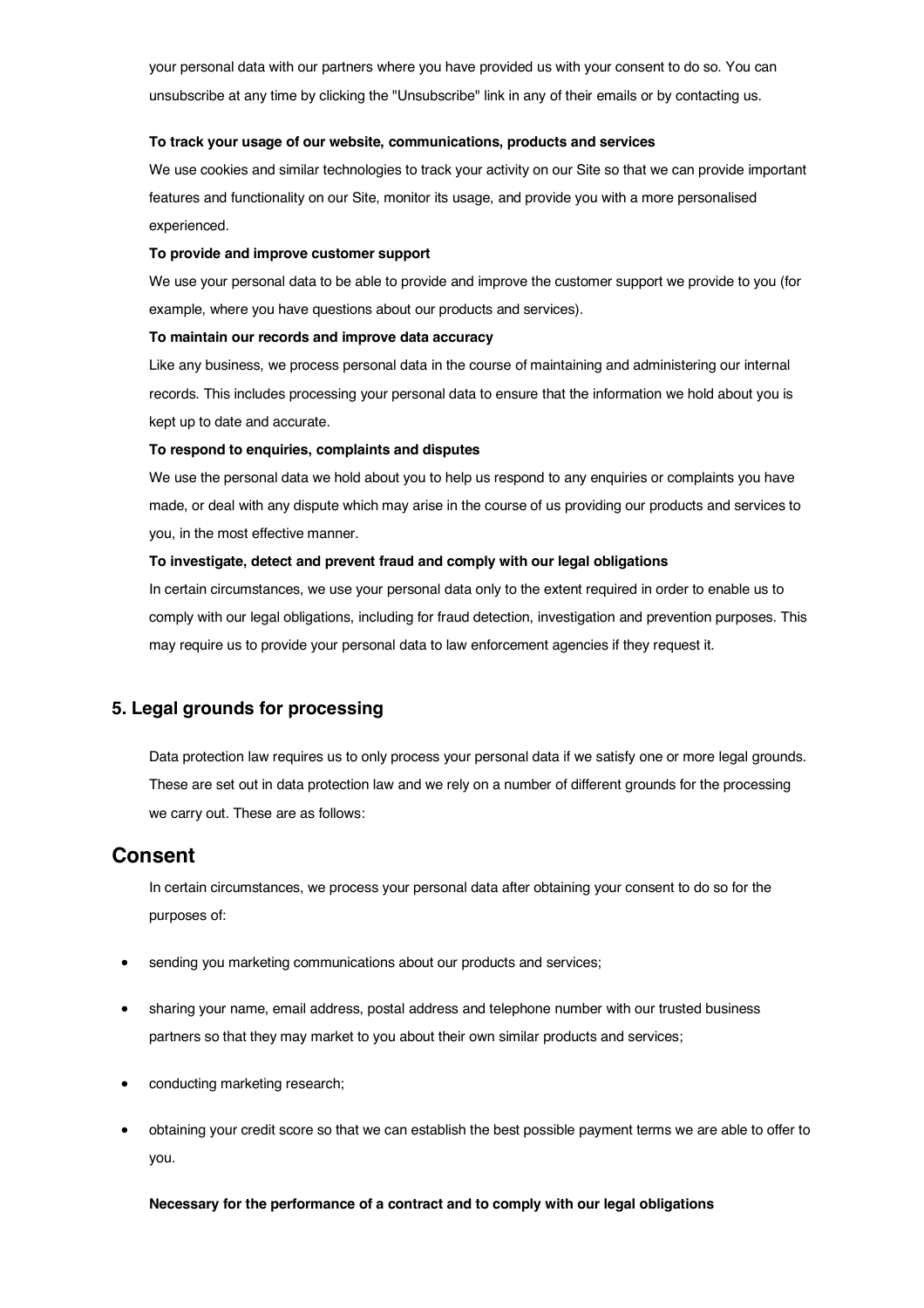your personal data with our partners where you have provided us with your consent to do so. You can unsubscribe at any time by clicking the "Unsubscribe" link in any of their emails or by contacting us.

#### **To track your usage of our website, communications, products and services**

We use cookies and similar technologies to track your activity on our Site so that we can provide important features and functionality on our Site, monitor its usage, and provide you with a more personalised experienced.

#### **To provide and improve customer support**

We use your personal data to be able to provide and improve the customer support we provide to you (for example, where you have questions about our products and services).

#### **To maintain our records and improve data accuracy**

Like any business, we process personal data in the course of maintaining and administering our internal records. This includes processing your personal data to ensure that the information we hold about you is kept up to date and accurate.

#### **To respond to enquiries, complaints and disputes**

We use the personal data we hold about you to help us respond to any enquiries or complaints you have made, or deal with any dispute which may arise in the course of us providing our products and services to you, in the most effective manner.

#### **To investigate, detect and prevent fraud and comply with our legal obligations**

In certain circumstances, we use your personal data only to the extent required in order to enable us to comply with our legal obligations, including for fraud detection, investigation and prevention purposes. This may require us to provide your personal data to law enforcement agencies if they request it.

# **5. Legal grounds for processing**

Data protection law requires us to only process your personal data if we satisfy one or more legal grounds. These are set out in data protection law and we rely on a number of different grounds for the processing we carry out. These are as follows:

# **Consent**

In certain circumstances, we process your personal data after obtaining your consent to do so for the purposes of:

- sending you marketing communications about our products and services;
- sharing your name, email address, postal address and telephone number with our trusted business partners so that they may market to you about their own similar products and services;
- conducting marketing research;
- obtaining your credit score so that we can establish the best possible payment terms we are able to offer to you.

**Necessary for the performance of a contract and to comply with our legal obligations**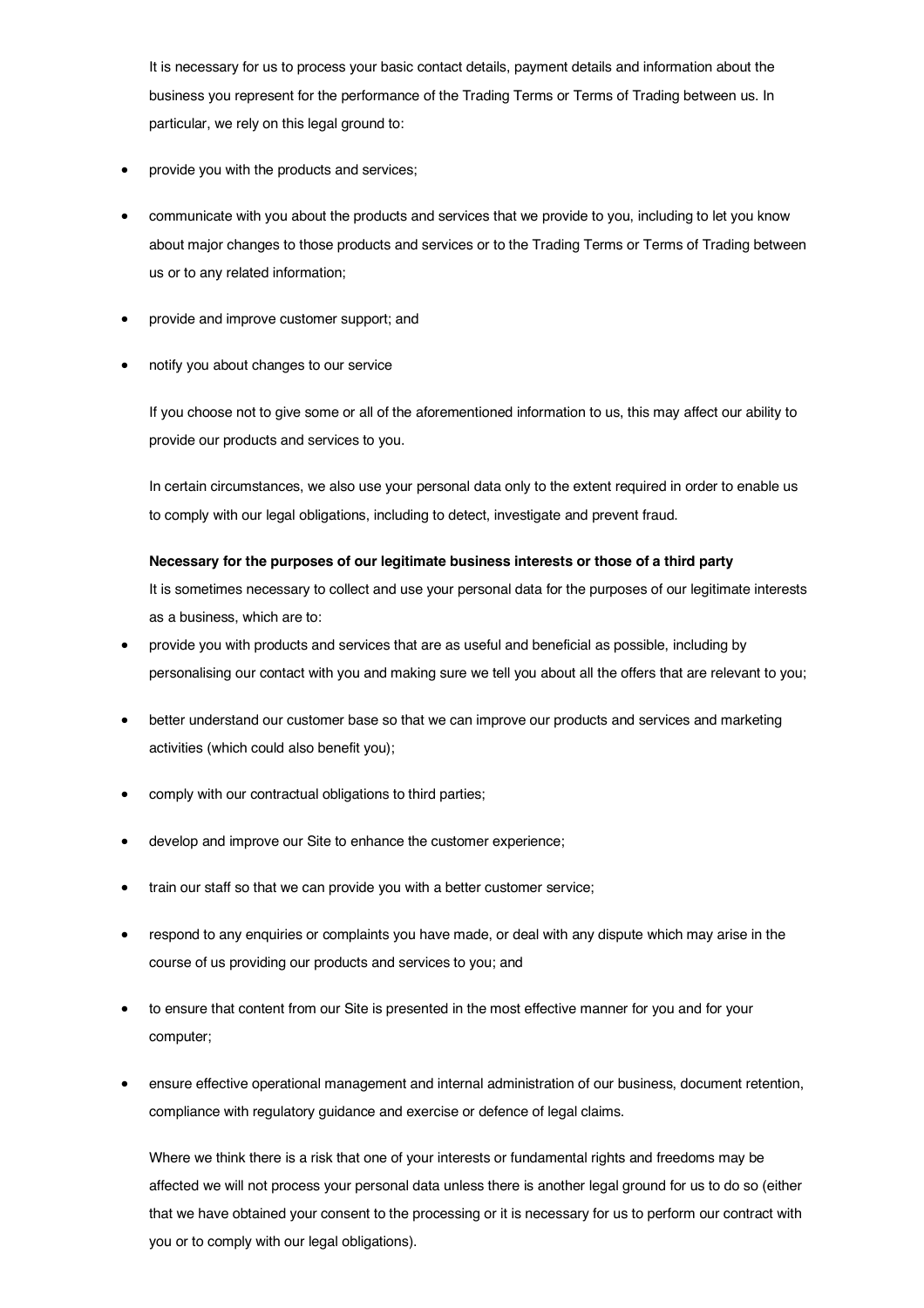It is necessary for us to process your basic contact details, payment details and information about the business you represent for the performance of the Trading Terms or Terms of Trading between us. In particular, we rely on this legal ground to:

- provide you with the products and services;
- communicate with you about the products and services that we provide to you, including to let you know about major changes to those products and services or to the Trading Terms or Terms of Trading between us or to any related information;
- provide and improve customer support; and
- notify you about changes to our service

If you choose not to give some or all of the aforementioned information to us, this may affect our ability to provide our products and services to you.

In certain circumstances, we also use your personal data only to the extent required in order to enable us to comply with our legal obligations, including to detect, investigate and prevent fraud.

#### **Necessary for the purposes of our legitimate business interests or those of a third party**

It is sometimes necessary to collect and use your personal data for the purposes of our legitimate interests as a business, which are to:

- provide you with products and services that are as useful and beneficial as possible, including by personalising our contact with you and making sure we tell you about all the offers that are relevant to you;
- better understand our customer base so that we can improve our products and services and marketing activities (which could also benefit you);
- comply with our contractual obligations to third parties;
- develop and improve our Site to enhance the customer experience;
- train our staff so that we can provide you with a better customer service;
- respond to any enquiries or complaints you have made, or deal with any dispute which may arise in the course of us providing our products and services to you; and
- to ensure that content from our Site is presented in the most effective manner for you and for your computer;
- ensure effective operational management and internal administration of our business, document retention, compliance with regulatory guidance and exercise or defence of legal claims.

Where we think there is a risk that one of your interests or fundamental rights and freedoms may be affected we will not process your personal data unless there is another legal ground for us to do so (either that we have obtained your consent to the processing or it is necessary for us to perform our contract with you or to comply with our legal obligations).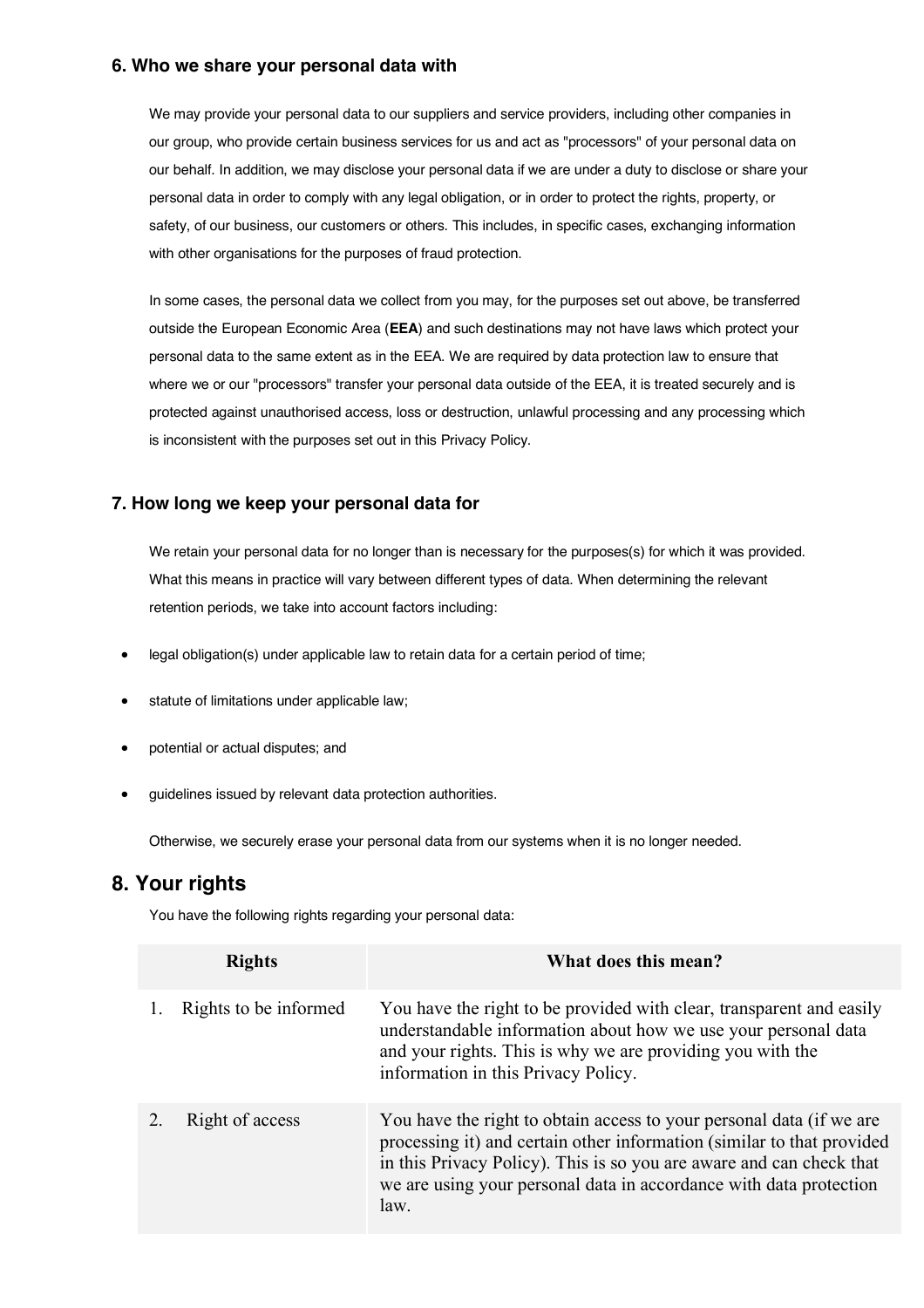### **6. Who we share your personal data with**

We may provide your personal data to our suppliers and service providers, including other companies in our group, who provide certain business services for us and act as "processors" of your personal data on our behalf. In addition, we may disclose your personal data if we are under a duty to disclose or share your personal data in order to comply with any legal obligation, or in order to protect the rights, property, or safety, of our business, our customers or others. This includes, in specific cases, exchanging information with other organisations for the purposes of fraud protection.

In some cases, the personal data we collect from you may, for the purposes set out above, be transferred outside the European Economic Area (**EEA**) and such destinations may not have laws which protect your personal data to the same extent as in the EEA. We are required by data protection law to ensure that where we or our "processors" transfer your personal data outside of the EEA, it is treated securely and is protected against unauthorised access, loss or destruction, unlawful processing and any processing which is inconsistent with the purposes set out in this Privacy Policy.

# **7. How long we keep your personal data for**

We retain your personal data for no longer than is necessary for the purposes(s) for which it was provided. What this means in practice will vary between different types of data. When determining the relevant retention periods, we take into account factors including:

- legal obligation(s) under applicable law to retain data for a certain period of time;
- statute of limitations under applicable law;
- potential or actual disputes; and
- guidelines issued by relevant data protection authorities.

Otherwise, we securely erase your personal data from our systems when it is no longer needed.

# **8. Your rights**

You have the following rights regarding your personal data:

| <b>Rights</b>         | What does this mean?                                                                                                                                                                                                                                                                                 |
|-----------------------|------------------------------------------------------------------------------------------------------------------------------------------------------------------------------------------------------------------------------------------------------------------------------------------------------|
| Rights to be informed | You have the right to be provided with clear, transparent and easily<br>understandable information about how we use your personal data<br>and your rights. This is why we are providing you with the<br>information in this Privacy Policy.                                                          |
| Right of access       | You have the right to obtain access to your personal data (if we are<br>processing it) and certain other information (similar to that provided<br>in this Privacy Policy). This is so you are aware and can check that<br>we are using your personal data in accordance with data protection<br>law. |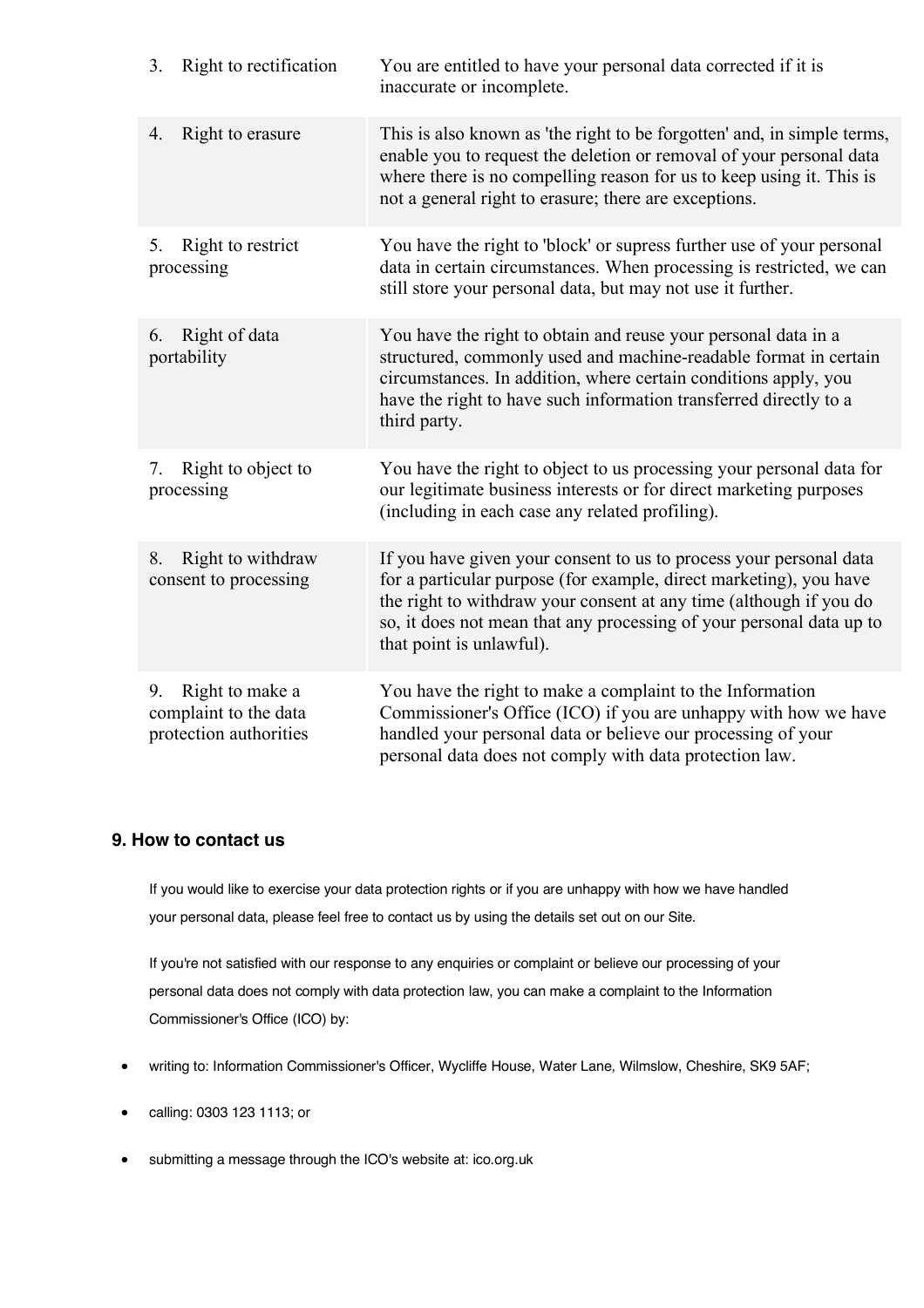| 3. | Right to rectification                                             | You are entitled to have your personal data corrected if it is<br>inaccurate or incomplete.                                                                                                                                                                                                                        |
|----|--------------------------------------------------------------------|--------------------------------------------------------------------------------------------------------------------------------------------------------------------------------------------------------------------------------------------------------------------------------------------------------------------|
| 4. | Right to erasure                                                   | This is also known as 'the right to be forgotten' and, in simple terms,<br>enable you to request the deletion or removal of your personal data<br>where there is no compelling reason for us to keep using it. This is<br>not a general right to erasure; there are exceptions.                                    |
| 5. | Right to restrict<br>processing                                    | You have the right to 'block' or supress further use of your personal<br>data in certain circumstances. When processing is restricted, we can<br>still store your personal data, but may not use it further.                                                                                                       |
| 6. | Right of data<br>portability                                       | You have the right to obtain and reuse your personal data in a<br>structured, commonly used and machine-readable format in certain<br>circumstances. In addition, where certain conditions apply, you<br>have the right to have such information transferred directly to a<br>third party.                         |
| 7. | Right to object to<br>processing                                   | You have the right to object to us processing your personal data for<br>our legitimate business interests or for direct marketing purposes<br>(including in each case any related profiling).                                                                                                                      |
| 8. | Right to withdraw<br>consent to processing                         | If you have given your consent to us to process your personal data<br>for a particular purpose (for example, direct marketing), you have<br>the right to withdraw your consent at any time (although if you do<br>so, it does not mean that any processing of your personal data up to<br>that point is unlawful). |
| 9. | Right to make a<br>complaint to the data<br>protection authorities | You have the right to make a complaint to the Information<br>Commissioner's Office (ICO) if you are unhappy with how we have<br>handled your personal data or believe our processing of your<br>personal data does not comply with data protection law.                                                            |

# **9. How to contact us**

If you would like to exercise your data protection rights or if you are unhappy with how we have handled your personal data, please feel free to contact us by using the details set out on our Site.

If you're not satisfied with our response to any enquiries or complaint or believe our processing of your personal data does not comply with data protection law, you can make a complaint to the Information Commissioner's Office (ICO) by:

- writing to: Information Commissioner's Officer, Wycliffe House, Water Lane, Wilmslow, Cheshire, SK9 5AF;
- calling: 0303 123 1113; or
- submitting a message through the ICO's website at: ico.org.uk